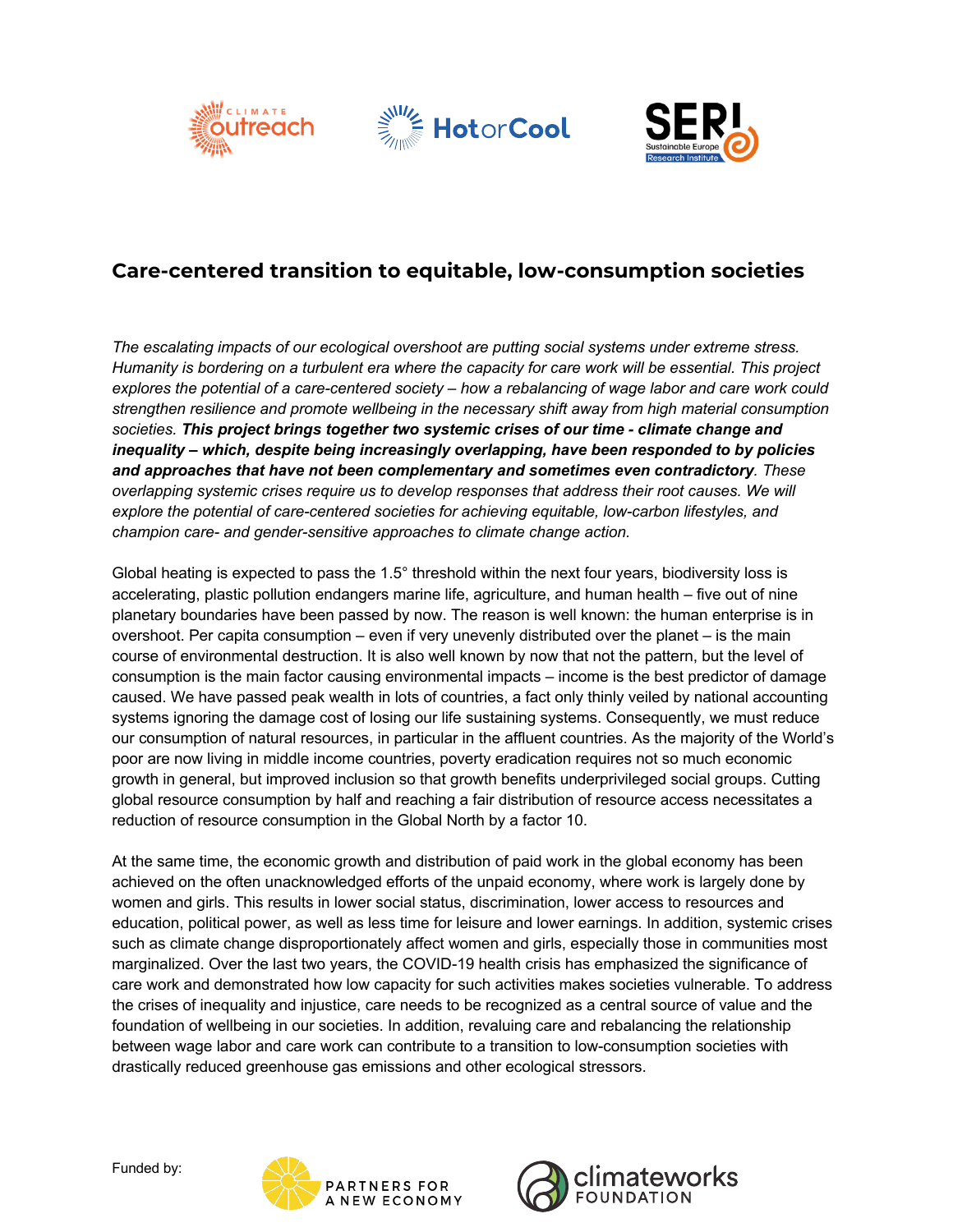





## **Care-centered transition to equitable, low-consumption societies**

*The escalating impacts of our ecological overshoot are putting social systems under extreme stress. Humanity is bordering on a turbulent era where the capacity for care work will be essential. This project explores the potential of a care-centered society – how a rebalancing of wage labor and care work could strengthen resilience and promote wellbeing in the necessary shift away from high material consumption societies. This project brings together two systemic crises of our time - climate change and inequality – which, despite being increasingly overlapping, have been responded to by policies and approaches that have not been complementary and sometimes even contradictory. These overlapping systemic crises require us to develop responses that address their root causes. We will explore the potential of care-centered societies for achieving equitable, low-carbon lifestyles, and champion care- and gender-sensitive approaches to climate change action.* 

Global heating is expected to pass the 1.5° threshold within the next four years, biodiversity loss is accelerating, plastic pollution endangers marine life, agriculture, and human health – five out of nine planetary boundaries have been passed by now. The reason is well known: the human enterprise is in overshoot. Per capita consumption – even if very unevenly distributed over the planet – is the main course of environmental destruction. It is also well known by now that not the pattern, but the level of consumption is the main factor causing environmental impacts – income is the best predictor of damage caused. We have passed peak wealth in lots of countries, a fact only thinly veiled by national accounting systems ignoring the damage cost of losing our life sustaining systems. Consequently, we must reduce our consumption of natural resources, in particular in the affluent countries. As the majority of the World's poor are now living in middle income countries, poverty eradication requires not so much economic growth in general, but improved inclusion so that growth benefits underprivileged social groups. Cutting global resource consumption by half and reaching a fair distribution of resource access necessitates a reduction of resource consumption in the Global North by a factor 10.

At the same time, the economic growth and distribution of paid work in the global economy has been achieved on the often unacknowledged efforts of the unpaid economy, where work is largely done by women and girls. This results in lower social status, discrimination, lower access to resources and education, political power, as well as less time for leisure and lower earnings. In addition, systemic crises such as climate change disproportionately affect women and girls, especially those in communities most marginalized. Over the last two years, the COVID-19 health crisis has emphasized the significance of care work and demonstrated how low capacity for such activities makes societies vulnerable. To address the crises of inequality and injustice, care needs to be recognized as a central source of value and the foundation of wellbeing in our societies. In addition, revaluing care and rebalancing the relationship between wage labor and care work can contribute to a transition to low-consumption societies with drastically reduced greenhouse gas emissions and other ecological stressors.